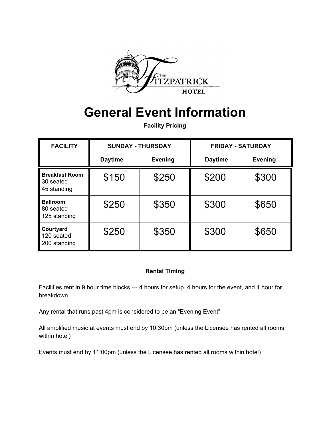

# **General Event Information**

**Facility Pricing**

| <b>FACILITY</b>                                   | <b>SUNDAY - THURSDAY</b> |                | <b>FRIDAY - SATURDAY</b> |                |
|---------------------------------------------------|--------------------------|----------------|--------------------------|----------------|
|                                                   | <b>Daytime</b>           | <b>Evening</b> | <b>Daytime</b>           | <b>Evening</b> |
| <b>Breakfast Room</b><br>30 seated<br>45 standing | \$150                    | \$250          | \$200                    | \$300          |
| <b>Ballroom</b><br>80 seated<br>125 standing      | \$250                    | \$350          | \$300                    | \$650          |
| Courtyard<br>120 seated<br>200 standing           | \$250                    | \$350          | \$300                    | \$650          |

## **Rental Timing**

Facilities rent in 9 hour time blocks --- 4 hours for setup, 4 hours for the event, and 1 hour for breakdown

Any rental that runs past 4pm is considered to be an "Evening Event"

All amplified music at events must end by 10:30pm (unless the Licensee has rented all rooms within hotel)

Events must end by 11:00pm (unless the Licensee has rented all rooms within hotel)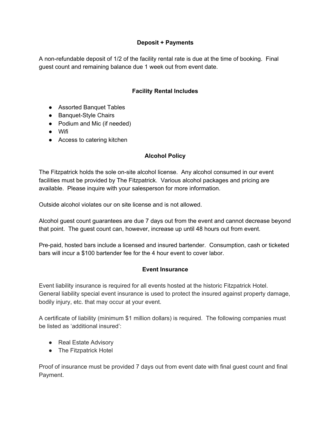## **Deposit + Payments**

A non-refundable deposit of 1/2 of the facility rental rate is due at the time of booking. Final guest count and remaining balance due 1 week out from event date.

## **Facility Rental Includes**

- Assorted Banquet Tables
- Banquet-Style Chairs
- Podium and Mic (if needed)
- Wifi
- Access to catering kitchen

## **Alcohol Policy**

The Fitzpatrick holds the sole on-site alcohol license. Any alcohol consumed in our event facilities must be provided by The Fitzpatrick. Various alcohol packages and pricing are available. Please inquire with your salesperson for more information.

Outside alcohol violates our on site license and is not allowed.

Alcohol guest count guarantees are due 7 days out from the event and cannot decrease beyond that point. The guest count can, however, increase up until 48 hours out from event.

Pre-paid, hosted bars include a licensed and insured bartender. Consumption, cash or ticketed bars will incur a \$100 bartender fee for the 4 hour event to cover labor.

#### **Event Insurance**

Event liability insurance is required for all events hosted at the historic Fitzpatrick Hotel. General liability special event insurance is used to protect the insured against property damage, bodily injury, etc. that may occur at your event.

A certificate of liability (minimum \$1 million dollars) is required. The following companies must be listed as 'additional insured':

- Real Estate Advisory
- The Fitzpatrick Hotel

Proof of insurance must be provided 7 days out from event date with final guest count and final Payment.